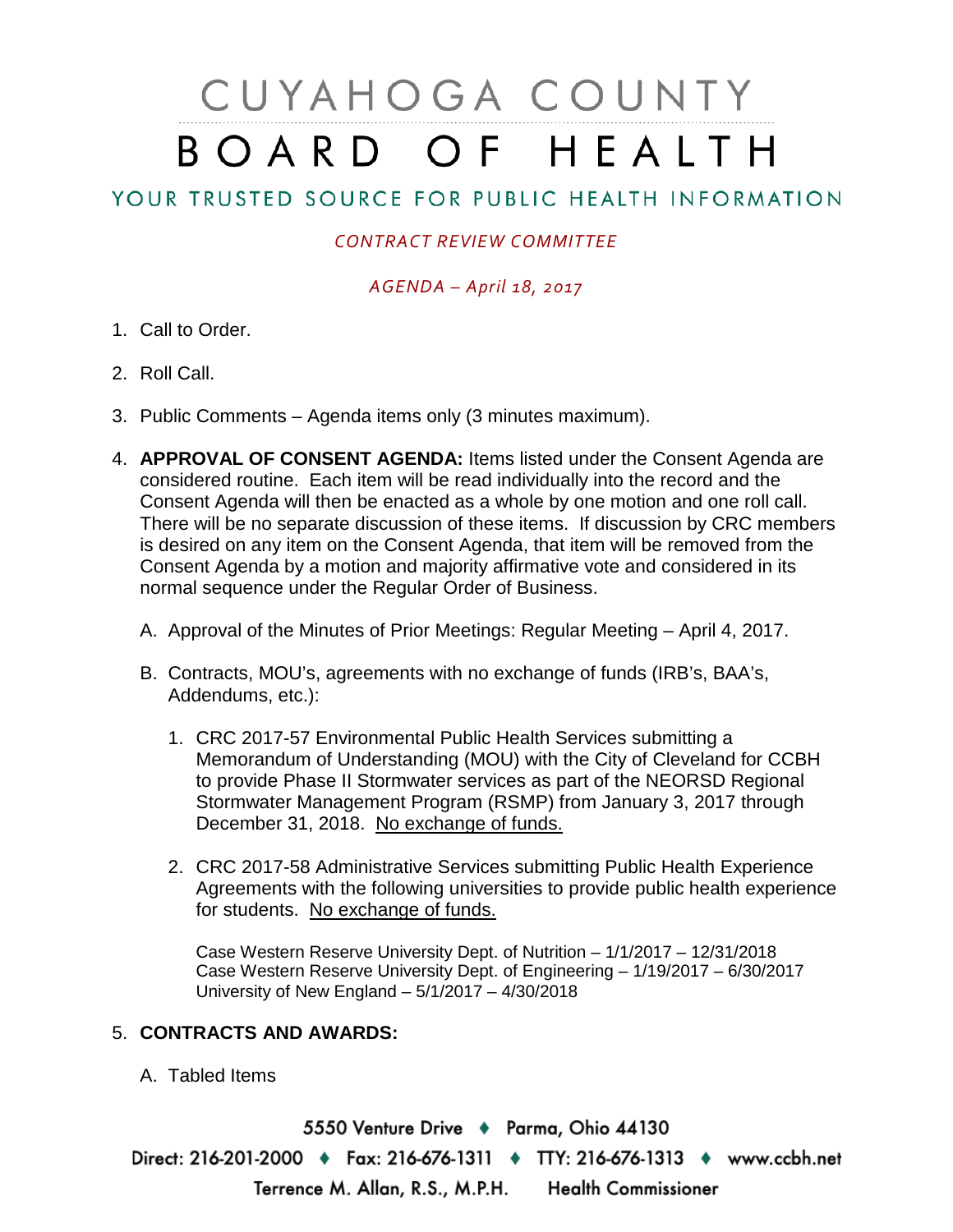# CUYAHOGA COUNTY BOARD OF HEALTH

## YOUR TRUSTED SOURCE FOR PUBLIC HEALTH INFORMATION

### *CONTRACT REVIEW COMMITTEE*

#### *AGENDA – April 18, 2017*

- 1. Call to Order.
- 2. Roll Call.
- 3. Public Comments Agenda items only (3 minutes maximum).
- 4. **APPROVAL OF CONSENT AGENDA:** Items listed under the Consent Agenda are considered routine. Each item will be read individually into the record and the Consent Agenda will then be enacted as a whole by one motion and one roll call. There will be no separate discussion of these items. If discussion by CRC members is desired on any item on the Consent Agenda, that item will be removed from the Consent Agenda by a motion and majority affirmative vote and considered in its normal sequence under the Regular Order of Business.
	- A. Approval of the Minutes of Prior Meetings: Regular Meeting April 4, 2017.
	- B. Contracts, MOU's, agreements with no exchange of funds (IRB's, BAA's, Addendums, etc.):
		- 1. CRC 2017-57 Environmental Public Health Services submitting a Memorandum of Understanding (MOU) with the City of Cleveland for CCBH to provide Phase II Stormwater services as part of the NEORSD Regional Stormwater Management Program (RSMP) from January 3, 2017 through December 31, 2018. No exchange of funds.
		- 2. CRC 2017-58 Administrative Services submitting Public Health Experience Agreements with the following universities to provide public health experience for students. No exchange of funds.

Case Western Reserve University Dept. of Nutrition – 1/1/2017 – 12/31/2018 Case Western Reserve University Dept. of Engineering – 1/19/2017 – 6/30/2017 University of New England – 5/1/2017 – 4/30/2018

#### 5. **CONTRACTS AND AWARDS:**

A. Tabled Items

5550 Venture Drive + Parma, Ohio 44130 Direct: 216-201-2000 • Fax: 216-676-1311 • TTY: 216-676-1313 • www.ccbh.net Terrence M. Allan, R.S., M.P.H. Health Commissioner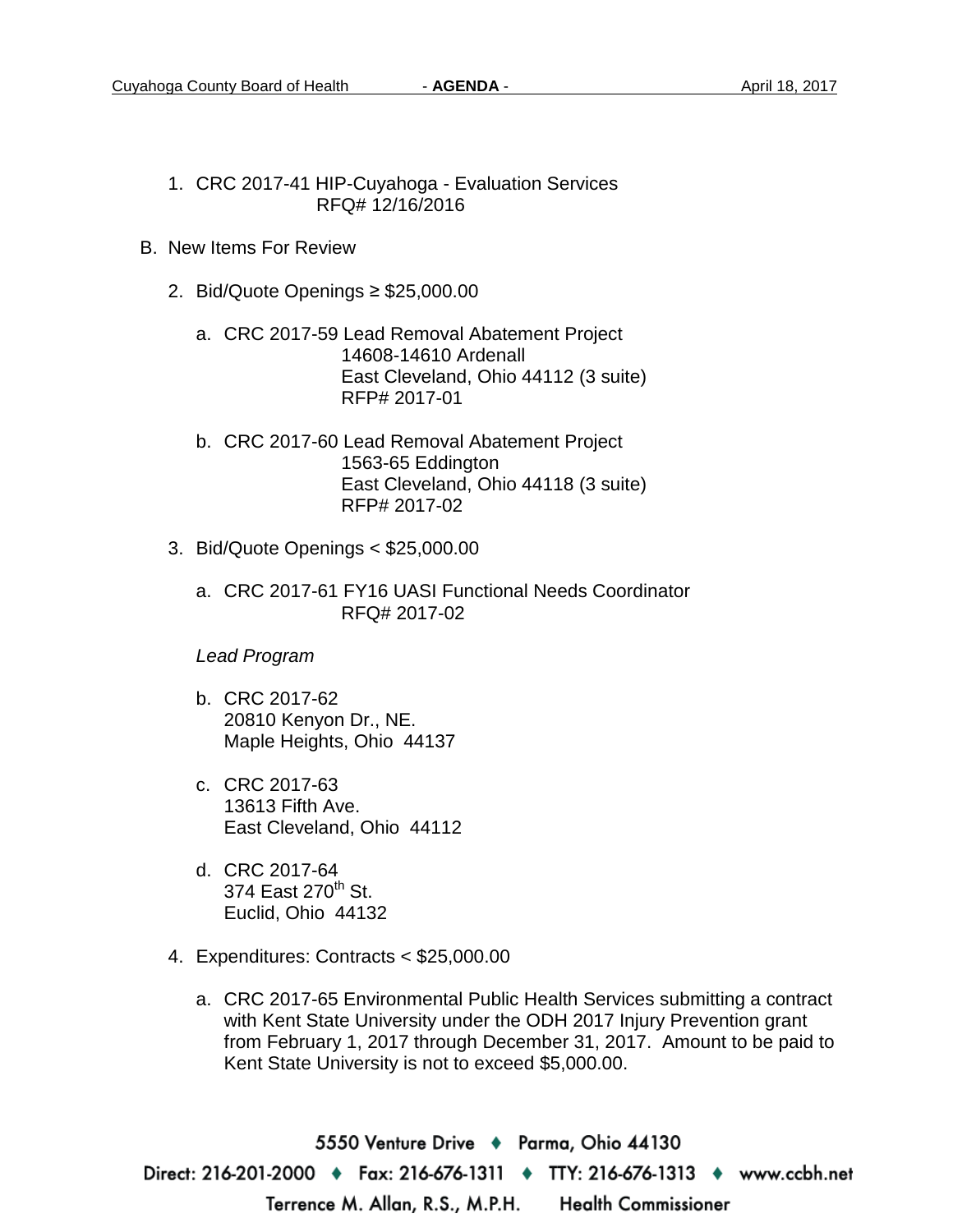- 1. CRC 2017-41 HIP-Cuyahoga Evaluation Services RFQ# 12/16/2016
- B. New Items For Review
	- 2. Bid/Quote Openings ≥ \$25,000.00
		- a. CRC 2017-59 Lead Removal Abatement Project 14608-14610 Ardenall East Cleveland, Ohio 44112 (3 suite) RFP# 2017-01
		- b. CRC 2017-60 Lead Removal Abatement Project 1563-65 Eddington East Cleveland, Ohio 44118 (3 suite) RFP# 2017-02
	- 3. Bid/Quote Openings < \$25,000.00
		- a. CRC 2017-61 FY16 UASI Functional Needs Coordinator RFQ# 2017-02

#### *Lead Program*

- b. CRC 2017-62 20810 Kenyon Dr., NE. Maple Heights, Ohio 44137
- c. CRC 2017-63 13613 Fifth Ave. East Cleveland, Ohio 44112
- d. CRC 2017-64 374 East 270<sup>th</sup> St. Euclid, Ohio 44132
- 4. Expenditures: Contracts < \$25,000.00
	- a. CRC 2017-65 Environmental Public Health Services submitting a contract with Kent State University under the ODH 2017 Injury Prevention grant from February 1, 2017 through December 31, 2017. Amount to be paid to Kent State University is not to exceed \$5,000.00.

5550 Venture Drive + Parma, Ohio 44130 Direct: 216-201-2000 → Fax: 216-676-1311 → TTY: 216-676-1313 → www.ccbh.net Terrence M. Allan, R.S., M.P.H. **Health Commissioner**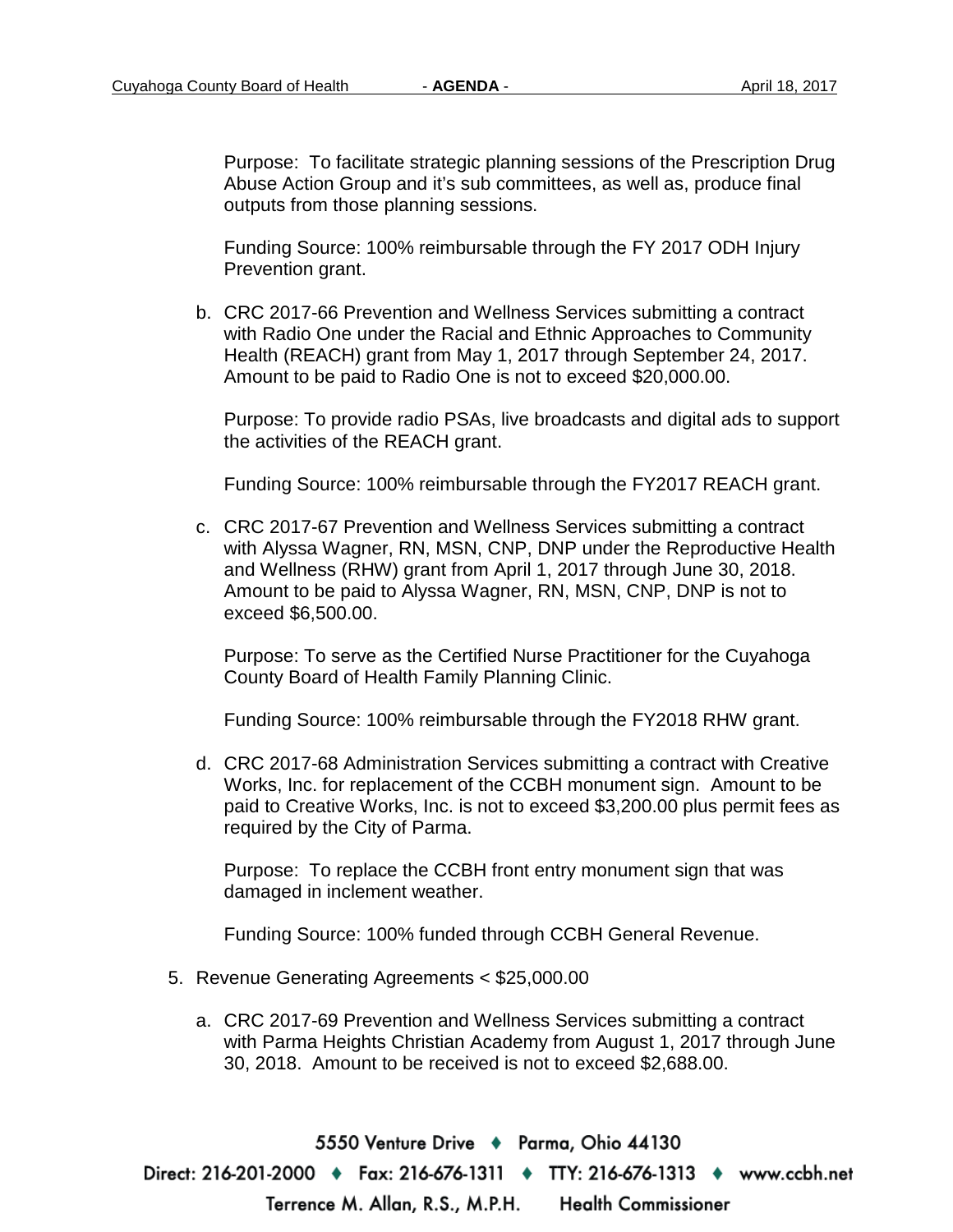Purpose: To facilitate strategic planning sessions of the Prescription Drug Abuse Action Group and it's sub committees, as well as, produce final outputs from those planning sessions.

Funding Source: 100% reimbursable through the FY 2017 ODH Injury Prevention grant.

b. CRC 2017-66 Prevention and Wellness Services submitting a contract with Radio One under the Racial and Ethnic Approaches to Community Health (REACH) grant from May 1, 2017 through September 24, 2017. Amount to be paid to Radio One is not to exceed \$20,000.00.

Purpose: To provide radio PSAs, live broadcasts and digital ads to support the activities of the REACH grant.

Funding Source: 100% reimbursable through the FY2017 REACH grant.

c. CRC 2017-67 Prevention and Wellness Services submitting a contract with Alyssa Wagner, RN, MSN, CNP, DNP under the Reproductive Health and Wellness (RHW) grant from April 1, 2017 through June 30, 2018. Amount to be paid to Alyssa Wagner, RN, MSN, CNP, DNP is not to exceed \$6,500.00.

Purpose: To serve as the Certified Nurse Practitioner for the Cuyahoga County Board of Health Family Planning Clinic.

Funding Source: 100% reimbursable through the FY2018 RHW grant.

d. CRC 2017-68 Administration Services submitting a contract with Creative Works, Inc. for replacement of the CCBH monument sign. Amount to be paid to Creative Works, Inc. is not to exceed \$3,200.00 plus permit fees as required by the City of Parma.

Purpose: To replace the CCBH front entry monument sign that was damaged in inclement weather.

Funding Source: 100% funded through CCBH General Revenue.

- 5. Revenue Generating Agreements < \$25,000.00
	- a. CRC 2017-69 Prevention and Wellness Services submitting a contract with Parma Heights Christian Academy from August 1, 2017 through June 30, 2018. Amount to be received is not to exceed \$2,688.00.

5550 Venture Drive + Parma, Ohio 44130 Direct: 216-201-2000 ♦ Fax: 216-676-1311 ♦ TTY: 216-676-1313 ♦ www.ccbh.net Terrence M. Allan, R.S., M.P.H. **Health Commissioner**